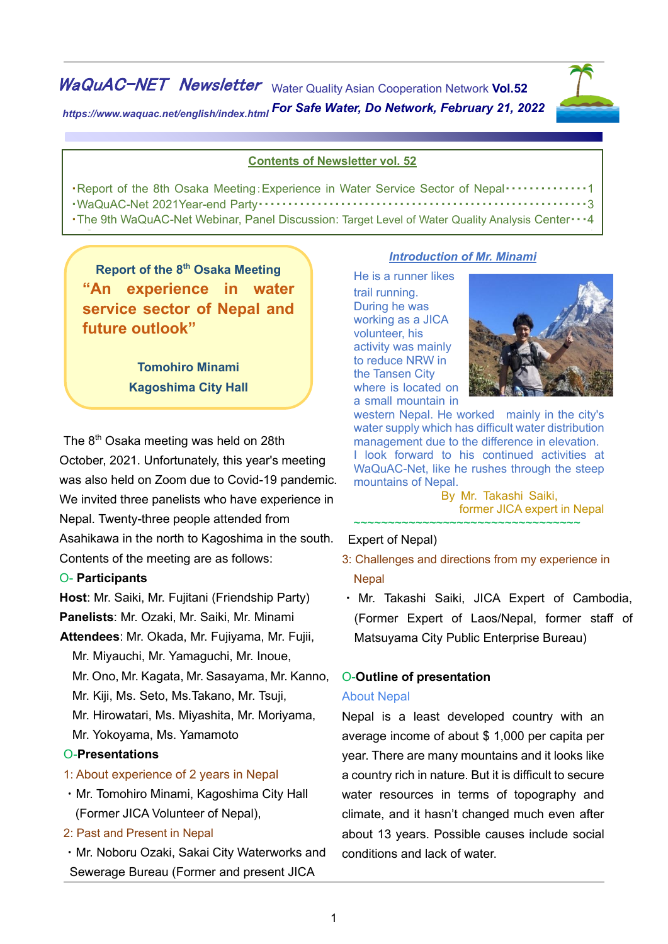WaQuAC-NET Newsletter Water Quality Asian Cooperation Network Vol.52 *https://www.waquac.net/english/index.html For Safe Water, Do Network, February 21, 2022*



html

### **Contents of Newsletter vol. 52**

| Report of the 8th Osaka Meeting: Experience in Water Service Sector of Nepal 1                 |  |
|------------------------------------------------------------------------------------------------|--|
|                                                                                                |  |
| The 9th WaQuAC-Net Webinar, Panel Discussion: Target Level of Water Quality Analysis Center  4 |  |

C e n t e r ・・・ ・・・ 4

**Report of the 8th Osaka Meeting "An experience in water service sector of Nepal and future outlook"**

> **Tomohiro Minami Kagoshima City Hall**

The 8<sup>th</sup> Osaka meeting was held on 28th October, 2021. Unfortunately, this year's meeting was also held on Zoom due to Covid-19 pandemic. We invited three panelists who have experience in Nepal. Twenty-three people attended from Asahikawa in the north to Kagoshima in the south. Contents of the meeting are as follows:

#### O- **Participants**

**Host**: Mr. Saiki, Mr. Fujitani (Friendship Party) **Panelists**: Mr. Ozaki, Mr. Saiki, Mr. Minami

**Attendees**: Mr. Okada, Mr. Fujiyama, Mr. Fujii, Mr. Miyauchi, Mr. Yamaguchi, Mr. Inoue, Mr. Ono, Mr. Kagata, Mr. Sasayama, Mr. Kanno, Mr. Kiji, Ms. Seto, Ms.Takano, Mr. Tsuji, Mr. Hirowatari, Ms. Miyashita, Mr. Moriyama, Mr. Yokoyama, Ms. Yamamoto

### O-**Presentations**

- 1: About experience of 2 years in Nepal
- ・Mr. Tomohiro Minami, Kagoshima City Hall (Former JICA Volunteer of Nepal),
- 2: Past and Present in Nepal
- ・Mr. Noboru Ozaki, Sakai City Waterworks and Sewerage Bureau (Former and present JICA

#### *Introduction of Mr. Minami*

He is a runner likes trail running. During he was working as a JICA volunteer, his activity was mainly to reduce NRW in the Tansen City where is located on a small mountain in



western Nepal. He worked mainly in the city's water supply which has difficult water distribution management due to the difference in elevation. I look forward to his continued activities at WaQuAC-Net, like he rushes through the steep mountains of Nepal.

 By Mr. Takashi Saiki, former JICA expert in Nepal ~~~~~~~~~~~~~~~~~~~~~~~~~~~~~~~~~~~

#### Expert of Nepal)

- 3: Challenges and directions from my experience in **Nepal**
- ・ Mr. Takashi Saiki, JICA Expert of Cambodia, (Former Expert of Laos/Nepal, former staff of Matsuyama City Public Enterprise Bureau)

### O-**Outline of presentation**

### About Nepal

Nepal is a least developed country with an average income of about \$ 1,000 per capita per year. There are many mountains and it looks like a country rich in nature. But it is difficult to secure water resources in terms of topography and climate, and it hasn't changed much even after about 13 years. Possible causes include social conditions and lack of water.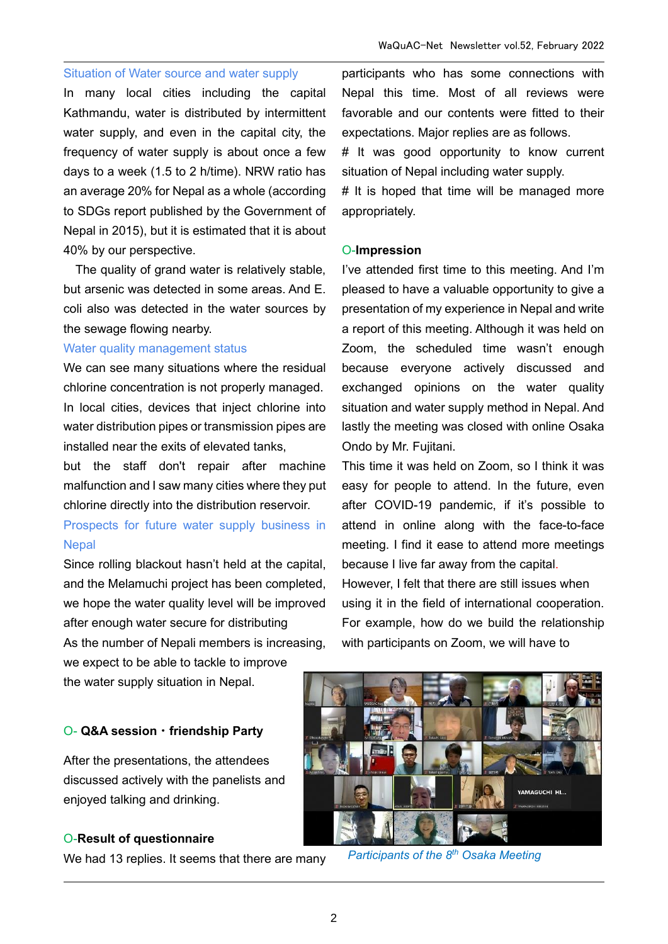### Situation of Water source and water supply

In many local cities including the capital Kathmandu, water is distributed by intermittent water supply, and even in the capital city, the frequency of water supply is about once a few days to a week (1.5 to 2 h/time). NRW ratio has an average 20% for Nepal as a whole (according to SDGs report published by the Government of Nepal in 2015), but it is estimated that it is about 40% by our perspective.

The quality of grand water is relatively stable, but arsenic was detected in some areas. And E. coli also was detected in the water sources by the sewage flowing nearby.

### Water quality management status

We can see many situations where the residual chlorine concentration is not properly managed. In local cities, devices that inject chlorine into water distribution pipes or transmission pipes are installed near the exits of elevated tanks,

but the staff don't repair after machine malfunction and I saw many cities where they put chlorine directly into the distribution reservoir.

# Prospects for future water supply business in **Nepal**

Since rolling blackout hasn't held at the capital, and the Melamuchi project has been completed, we hope the water quality level will be improved after enough water secure for distributing

As the number of Nepali members is increasing, we expect to be able to tackle to improve

the water supply situation in Nepal.

#### O- **Q&A session**・**friendship Party**

After the presentations, the attendees discussed actively with the panelists and enjoyed talking and drinking.

#### O-**Result of questionnaire**

We had 13 replies. It seems that there are many

participants who has some connections with Nepal this time. Most of all reviews were favorable and our contents were fitted to their expectations. Major replies are as follows.

# It was good opportunity to know current situation of Nepal including water supply.

# It is hoped that time will be managed more appropriately.

### O-**Impression**

I've attended first time to this meeting. And I'm pleased to have a valuable opportunity to give a presentation of my experience in Nepal and write a report of this meeting. Although it was held on Zoom, the scheduled time wasn't enough because everyone actively discussed and exchanged opinions on the water quality situation and water supply method in Nepal. And lastly the meeting was closed with online Osaka Ondo by Mr. Fujitani.

This time it was held on Zoom, so I think it was easy for people to attend. In the future, even after COVID-19 pandemic, if it's possible to attend in online along with the face-to-face meeting. I find it ease to attend more meetings because I live far away from the capital. However, I felt that there are still issues when using it in the field of international cooperation. For example, how do we build the relationship with participants on Zoom, we will have to



*Participants of the 8th Osaka Meeting*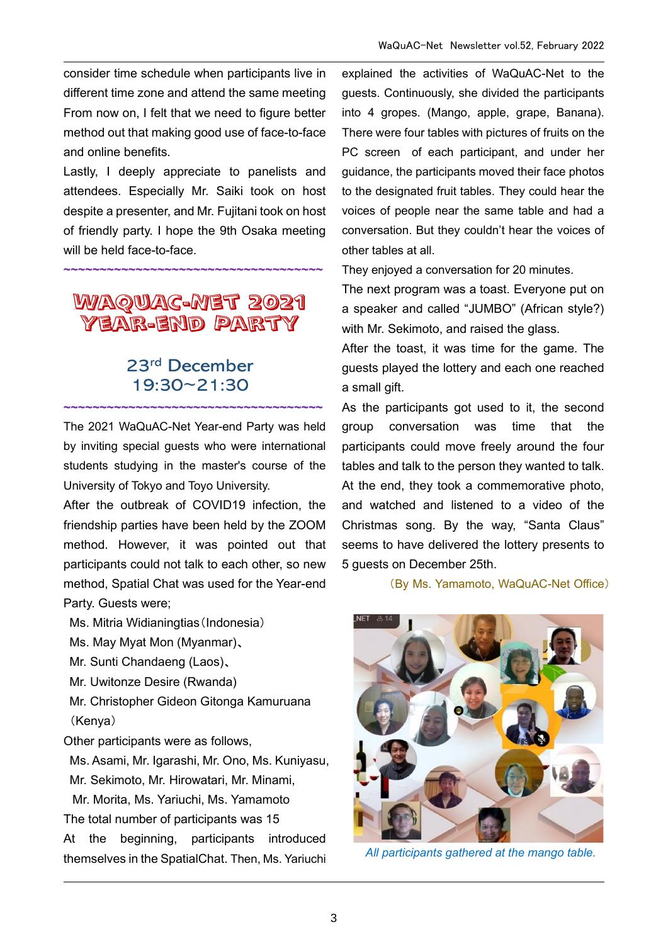consider time schedule when participants live in different time zone and attend the same meeting From now on, I felt that we need to figure better method out that making good use of face-to-face and online benefits.

Lastly, I deeply appreciate to panelists and attendees. Especially Mr. Saiki took on host despite a presenter, and Mr. Fujitani took on host of friendly party. I hope the 9th Osaka meeting will be held face-to-face.

# WAQUAC-MET 2021 YEAR-END PARTY

**~~~~~~~~~~~~~~~~~~~~~~~~~~~~~~~~~~~~**

# 23rd December 19:30~21:30

**~~~~~~~~~~~~~~~~~~~~~~~~~~~~~~~~~~~~**

The 2021 WaQuAC-Net Year-end Party was held by inviting special guests who were international students studying in the master's course of the University of Tokyo and Toyo University.

After the outbreak of COVID19 infection, the friendship parties have been held by the ZOOM method. However, it was pointed out that participants could not talk to each other, so new method, Spatial Chat was used for the Year-end Party. Guests were;

Ms. Mitria Widianingtias(Indonesia)

Ms. May Myat Mon (Myanmar)、

Mr. Sunti Chandaeng (Laos)、

Mr. Uwitonze Desire (Rwanda)

Mr. Christopher Gideon Gitonga Kamuruana (Kenya)

Other participants were as follows,

Ms. Asami, Mr. Igarashi, Mr. Ono, Ms. Kuniyasu, Mr. Sekimoto, Mr. Hirowatari, Mr. Minami,

Mr. Morita, Ms. Yariuchi, Ms. Yamamoto The total number of participants was 15 At the beginning, participants introduced

themselves in the SpatialChat. Then, Ms. Yariuchi

explained the activities of WaQuAC-Net to the guests. Continuously, she divided the participants into 4 gropes. (Mango, apple, grape, Banana). There were four tables with pictures of fruits on the PC screen of each participant, and under her guidance, the participants moved their face photos to the designated fruit tables. They could hear the voices of people near the same table and had a conversation. But they couldn't hear the voices of other tables at all.

They enjoyed a conversation for 20 minutes.

The next program was a toast. Everyone put on a speaker and called "JUMBO" (African style?) with Mr. Sekimoto, and raised the glass.

After the toast, it was time for the game. The guests played the lottery and each one reached a small gift.

As the participants got used to it, the second group conversation was time that the participants could move freely around the four tables and talk to the person they wanted to talk. At the end, they took a commemorative photo, and watched and listened to a video of the Christmas song. By the way, "Santa Claus" seems to have delivered the lottery presents to 5 guests on December 25th.

(By Ms. Yamamoto, WaQuAC-Net Office)



*All participants gathered at the mango table.*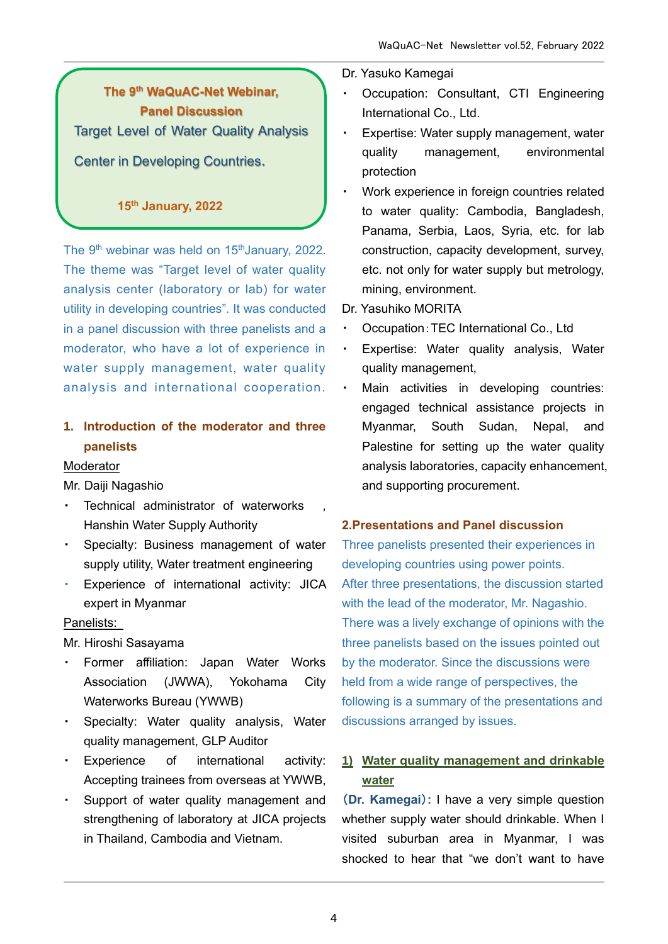# **The 9th WaQuAC-Net Webinar, Panel Discussion** Target Level of Water Quality Analysis Center in Developing Countries.

## **15th January, 2022**

The  $9<sup>th</sup>$  webinar was held on 15<sup>th</sup> January, 2022. The theme was "Target level of water quality analysis center (laboratory or lab) for water utility in developing countries". It was conducted in a panel discussion with three panelists and a moderator, who have a lot of experience in water supply management, water quality analysis and international cooperation.

# **1. Introduction of the moderator and three panelists**

### Moderator

Mr. Daiji Nagashio

- ・ Technical administrator of waterworks , Hanshin Water Supply Authority
- ・ Specialty: Business management of water supply utility, Water treatment engineering
- ・ Experience of international activity: JICA expert in Myanmar

### Panelists:

Mr. Hiroshi Sasayama

- ・ Former affiliation: Japan Water Works Association (JWWA), Yokohama City Waterworks Bureau (YWWB)
- ・ Specialty: Water quality analysis, Water quality management, GLP Auditor
- ・ Experience of international activity: Accepting trainees from overseas at YWWB,
- ・ Support of water quality management and strengthening of laboratory at JICA projects in Thailand, Cambodia and Vietnam.

### Dr. Yasuko Kamegai

- Occupation: Consultant, CTI Engineering International Co., Ltd.
- Expertise: Water supply management, water quality management, environmental protection
- Work experience in foreign countries related to water quality: Cambodia, Bangladesh, Panama, Serbia, Laos, Syria, etc. for lab construction, capacity development, survey, etc. not only for water supply but metrology, mining, environment.
- Dr. Yasuhiko MORITA
- Occupation: TEC International Co., Ltd
- ・ Expertise: Water quality analysis, Water quality management,
- ・ Main activities in developing countries: engaged technical assistance projects in Myanmar, South Sudan, Nepal, and Palestine for setting up the water quality analysis laboratories, capacity enhancement, and supporting procurement.

### **2.Presentations and Panel discussion**

Three panelists presented their experiences in developing countries using power points. After three presentations, the discussion started with the lead of the moderator, Mr. Nagashio. There was a lively exchange of opinions with the three panelists based on the issues pointed out by the moderator. Since the discussions were held from a wide range of perspectives, the following is a summary of the presentations and discussions arranged by issues.

## **1) Water quality management and drinkable water**

(**Dr. Kamegai**)**:** I have a very simple question whether supply water should drinkable. When I visited suburban area in Myanmar, I was shocked to hear that "we don't want to have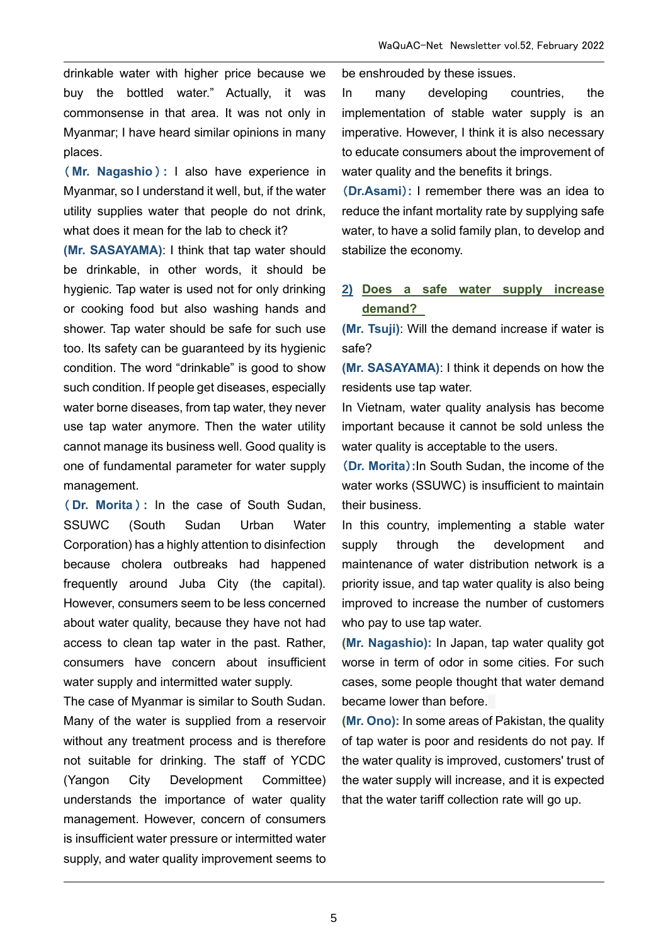drinkable water with higher price because we buy the bottled water." Actually, it was commonsense in that area. It was not only in Myanmar; I have heard similar opinions in many places.

( **Mr. Nagashio** ) **:** I also have experience in Myanmar, so I understand it well, but, if the water utility supplies water that people do not drink, what does it mean for the lab to check it?

**(Mr. SASAYAMA)**: I think that tap water should be drinkable, in other words, it should be hygienic. Tap water is used not for only drinking or cooking food but also washing hands and shower. Tap water should be safe for such use too. Its safety can be guaranteed by its hygienic condition. The word "drinkable" is good to show such condition. If people get diseases, especially water borne diseases, from tap water, they never use tap water anymore. Then the water utility cannot manage its business well. Good quality is one of fundamental parameter for water supply management.

( **Dr. Morita** ) **:** In the case of South Sudan, SSUWC (South Sudan Urban Water Corporation) has a highly attention to disinfection because cholera outbreaks had happened frequently around Juba City (the capital). However, consumers seem to be less concerned about water quality, because they have not had access to clean tap water in the past. Rather, consumers have concern about insufficient water supply and intermitted water supply.

The case of Myanmar is similar to South Sudan. Many of the water is supplied from a reservoir without any treatment process and is therefore not suitable for drinking. The staff of YCDC (Yangon City Development Committee) understands the importance of water quality management. However, concern of consumers is insufficient water pressure or intermitted water supply, and water quality improvement seems to be enshrouded by these issues.

In many developing countries, the implementation of stable water supply is an imperative. However, I think it is also necessary to educate consumers about the improvement of water quality and the benefits it brings.

(**Dr.Asami**)**:** I remember there was an idea to reduce the infant mortality rate by supplying safe water, to have a solid family plan, to develop and stabilize the economy.

## **2) Does a safe water supply increase demand?**

**(Mr. Tsuji)**: Will the demand increase if water is safe?

**(Mr. SASAYAMA)**: I think it depends on how the residents use tap water.

In Vietnam, water quality analysis has become important because it cannot be sold unless the water quality is acceptable to the users.

(**Dr. Morita**)**:**In South Sudan, the income of the water works (SSUWC) is insufficient to maintain their business.

In this country, implementing a stable water supply through the development and maintenance of water distribution network is a priority issue, and tap water quality is also being improved to increase the number of customers who pay to use tap water.

**(Mr. Nagashio):** In Japan, tap water quality got worse in term of odor in some cities. For such cases, some people thought that water demand became lower than before.

**(Mr. Ono):** In some areas of Pakistan, the quality of tap water is poor and residents do not pay. If the water quality is improved, customers' trust of the water supply will increase, and it is expected that the water tariff collection rate will go up.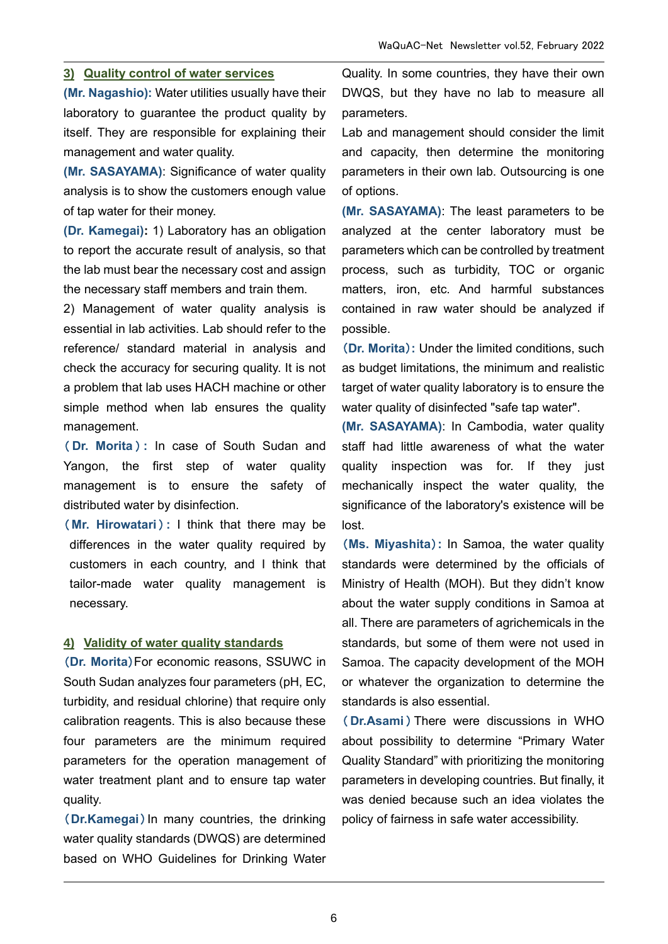### **3) Quality control of water services**

**(Mr. Nagashio):** Water utilities usually have their laboratory to guarantee the product quality by itself. They are responsible for explaining their management and water quality.

**(Mr. SASAYAMA)**: Significance of water quality analysis is to show the customers enough value of tap water for their money.

**(Dr. Kamegai):** 1) Laboratory has an obligation to report the accurate result of analysis, so that the lab must bear the necessary cost and assign the necessary staff members and train them.

2) Management of water quality analysis is essential in lab activities. Lab should refer to the reference/ standard material in analysis and check the accuracy for securing quality. It is not a problem that lab uses HACH machine or other simple method when lab ensures the quality management.

( **Dr. Morita** ) **:** In case of South Sudan and Yangon, the first step of water quality management is to ensure the safety of distributed water by disinfection.

( **Mr. Hirowatari** ) **:** I think that there may be differences in the water quality required by customers in each country, and I think that tailor-made water quality management is necessary.

### **4) Validity of water quality standards**

(**Dr. Morita**)For economic reasons, SSUWC in South Sudan analyzes four parameters (pH, EC, turbidity, and residual chlorine) that require only calibration reagents. This is also because these four parameters are the minimum required parameters for the operation management of water treatment plant and to ensure tap water quality.

(**Dr.Kamegai**)In many countries, the drinking water quality standards (DWQS) are determined based on WHO Guidelines for Drinking Water Quality. In some countries, they have their own DWQS, but they have no lab to measure all parameters.

Lab and management should consider the limit and capacity, then determine the monitoring parameters in their own lab. Outsourcing is one of options.

**(Mr. SASAYAMA)**: The least parameters to be analyzed at the center laboratory must be parameters which can be controlled by treatment process, such as turbidity, TOC or organic matters, iron, etc. And harmful substances contained in raw water should be analyzed if possible.

(**Dr. Morita**)**:** Under the limited conditions, such as budget limitations, the minimum and realistic target of water quality laboratory is to ensure the water quality of disinfected "safe tap water".

**(Mr. SASAYAMA)**: In Cambodia, water quality staff had little awareness of what the water quality inspection was for. If they just mechanically inspect the water quality, the significance of the laboratory's existence will be lost.

(**Ms. Miyashita**)**:** In Samoa, the water quality standards were determined by the officials of Ministry of Health (MOH). But they didn't know about the water supply conditions in Samoa at all. There are parameters of agrichemicals in the standards, but some of them were not used in Samoa. The capacity development of the MOH or whatever the organization to determine the standards is also essential.

( **Dr.Asami** ) There were discussions in WHO about possibility to determine "Primary Water Quality Standard" with prioritizing the monitoring parameters in developing countries. But finally, it was denied because such an idea violates the policy of fairness in safe water accessibility.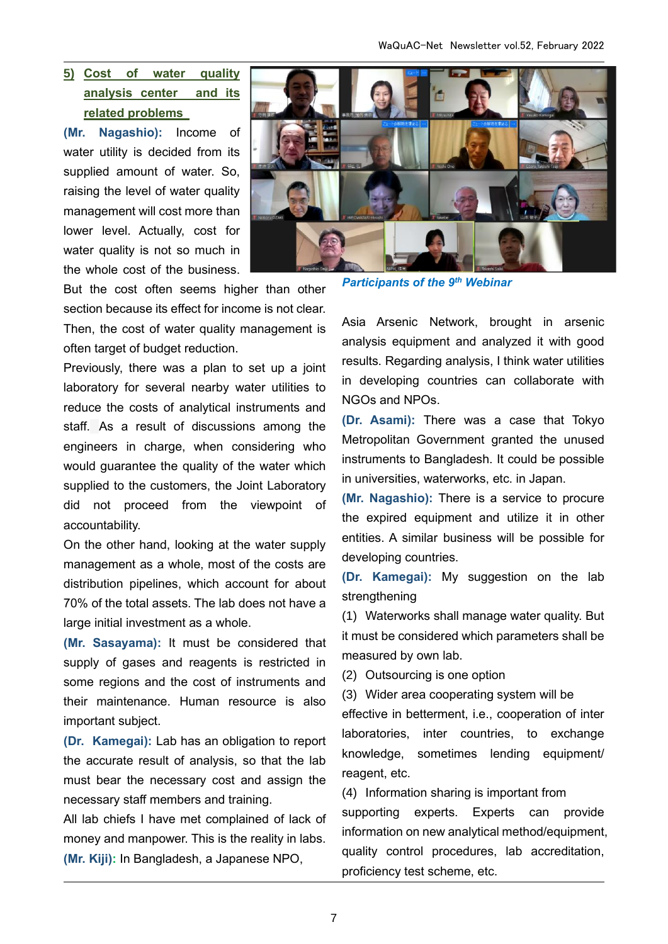## **5) Cost of water quality analysis center and its related problems**

**(Mr. Nagashio):** Income of water utility is decided from its supplied amount of water. So, raising the level of water quality management will cost more than lower level. Actually, cost for water quality is not so much in the whole cost of the business.



But the cost often seems higher than other section because its effect for income is not clear.

Then, the cost of water quality management is often target of budget reduction.

Previously, there was a plan to set up a joint laboratory for several nearby water utilities to reduce the costs of analytical instruments and staff. As a result of discussions among the engineers in charge, when considering who would guarantee the quality of the water which supplied to the customers, the Joint Laboratory did not proceed from the viewpoint of accountability.

On the other hand, looking at the water supply management as a whole, most of the costs are distribution pipelines, which account for about 70% of the total assets. The lab does not have a large initial investment as a whole.

**(Mr. Sasayama):** It must be considered that supply of gases and reagents is restricted in some regions and the cost of instruments and their maintenance. Human resource is also important subject.

**(Dr. Kamegai):** Lab has an obligation to report the accurate result of analysis, so that the lab must bear the necessary cost and assign the necessary staff members and training.

All lab chiefs I have met complained of lack of money and manpower. This is the reality in labs. **(Mr. Kiji):** In Bangladesh, a Japanese NPO,

*Participants of the 9th Webinar*

Asia Arsenic Network, brought in arsenic analysis equipment and analyzed it with good results. Regarding analysis, I think water utilities in developing countries can collaborate with NGOs and NPOs.

**(Dr. Asami):** There was a case that Tokyo Metropolitan Government granted the unused instruments to Bangladesh. It could be possible in universities, waterworks, etc. in Japan.

**(Mr. Nagashio):** There is a service to procure the expired equipment and utilize it in other entities. A similar business will be possible for developing countries.

**(Dr. Kamegai):** My suggestion on the lab strengthening

(1) Waterworks shall manage water quality. But it must be considered which parameters shall be measured by own lab.

(2) Outsourcing is one option

(3) Wider area cooperating system will be effective in betterment, i.e., cooperation of inter laboratories, inter countries, to exchange knowledge, sometimes lending equipment/ reagent, etc.

(4) Information sharing is important from supporting experts. Experts can provide information on new analytical method/equipment, quality control procedures, lab accreditation, proficiency test scheme, etc.